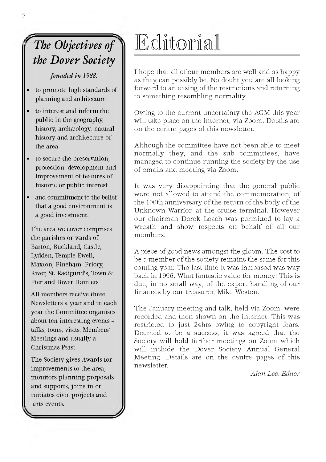## *^ The Objectives of ^ the Dover Society*

*founded in 1988.*

- **to promote high standards of planning and architecture**
- **to interest and inform the public in the geography, history, archeology, natural history and architecture of the area**
- **to secure the preservation, protection, development and improvement of features of historic or public interest**
- **and commitment to the belief that a good environment is a good investment.**

**The area we cover comprises the parishes or wards of Barton, Buckland, Castle, Lydden, Temple Ewell, Maxton, Pineham, Priory, River, St. Radigund's, Town & Pier and Tower Hamlets.**

**All members receive three Newsletters a year and in each year the Committee organises about ten interesting events talks, tours, visits, Members' Meetings and usually a Christmas Feast.**

**The Society gives Awards for improvements to the area, monitors planning proposals and supports, joins in or initiates civic projects and arts events.**

# Editorial

I hope that all of our members are well and as happy as they can possibly be. No doubt you are all looking forward to an easing of the restrictions and returning to something resembling normality.

Owing to the current uncertainty the AGM this year will take place on the internet, via Zoom. Details are on the centre pages of this new sletter.

Although the committee have not been able to meet normally they, and the sub committees, have managed to continue running the society by the use of emails and meeting via Zoom.

It was very disappointing that the general public were not allowed to attend the commemoration, of the 100th anniversary of the return of the body of the Unknown Warrior, at the cruise terminal. However our chairman Derek Leach was permitted to lay a wreath and show respects on behalf of all our members.

A piece of good news amongst the gloom. The cost to be a member of the society remains the same for this coming year. The last time it was increased was way back in 1996. What fantastic value for money! This is due, in no small way, of the expert handling of our finances by our treasurer, Mike Weston.

The January meeting and talk, held via Zoom, were recorded and then shown on the internet. This was re stricted to just 24hrs owing to copyright fears. Deemed to be a success, it was agreed that the Society will hold further meetings on Zoom which will include the Dover Society Annual General Meeting. Details are on the centre pages of this newsletter.

*Alan Lee, Editor*